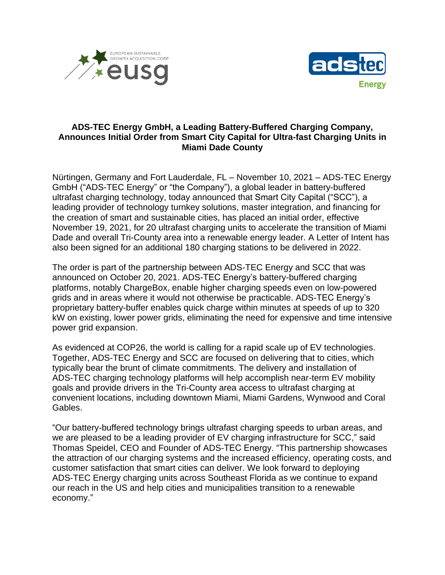



### **ADS-TEC Energy GmbH, a Leading Battery-Buffered Charging Company, Announces Initial Order from Smart City Capital for Ultra-fast Charging Units in Miami Dade County**

Nürtingen, Germany and Fort Lauderdale, FL – November 10, 2021 – ADS-TEC Energy GmbH ("ADS-TEC Energy" or "the Company"), a global leader in battery-buffered ultrafast charging technology, today announced that Smart City Capital ("SCC"), a leading provider of technology turnkey solutions, master integration, and financing for the creation of smart and sustainable cities, has placed an initial order, effective November 19, 2021, for 20 ultrafast charging units to accelerate the transition of Miami Dade and overall Tri-County area into a renewable energy leader. A Letter of Intent has also been signed for an additional 180 charging stations to be delivered in 2022.

The order is part of the partnership between ADS-TEC Energy and SCC that was announced on October 20, 2021. ADS-TEC Energy's battery-buffered charging platforms, notably ChargeBox, enable higher charging speeds even on low-powered grids and in areas where it would not otherwise be practicable. ADS-TEC Energy's proprietary battery-buffer enables quick charge within minutes at speeds of up to 320 kW on existing, lower power grids, eliminating the need for expensive and time intensive power grid expansion.

As evidenced at COP26, the world is calling for a rapid scale up of EV technologies. Together, ADS-TEC Energy and SCC are focused on delivering that to cities, which typically bear the brunt of climate commitments. The delivery and installation of ADS-TEC charging technology platforms will help accomplish near-term EV mobility goals and provide drivers in the Tri-County area access to ultrafast charging at convenient locations, including downtown Miami, Miami Gardens, Wynwood and Coral Gables.

"Our battery-buffered technology brings ultrafast charging speeds to urban areas, and we are pleased to be a leading provider of EV charging infrastructure for SCC," said Thomas Speidel, CEO and Founder of ADS-TEC Energy. "This partnership showcases the attraction of our charging systems and the increased efficiency, operating costs, and customer satisfaction that smart cities can deliver. We look forward to deploying ADS-TEC Energy charging units across Southeast Florida as we continue to expand our reach in the US and help cities and municipalities transition to a renewable economy."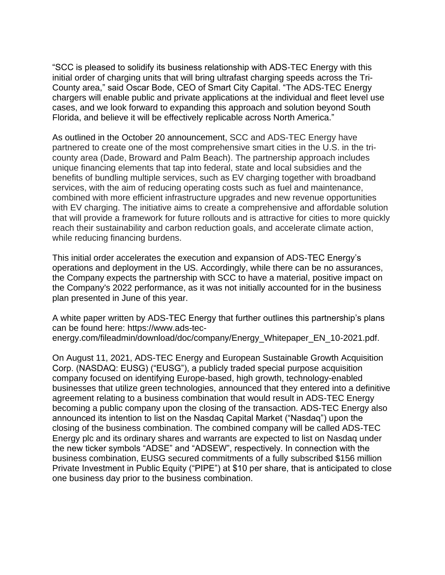"SCC is pleased to solidify its business relationship with ADS-TEC Energy with this initial order of charging units that will bring ultrafast charging speeds across the Tri-County area," said Oscar Bode, CEO of Smart City Capital. "The ADS-TEC Energy chargers will enable public and private applications at the individual and fleet level use cases, and we look forward to expanding this approach and solution beyond South Florida, and believe it will be effectively replicable across North America."

As outlined in the October 20 announcement, SCC and ADS-TEC Energy have partnered to create one of the most comprehensive smart cities in the U.S. in the tricounty area (Dade, Broward and Palm Beach). The partnership approach includes unique financing elements that tap into federal, state and local subsidies and the benefits of bundling multiple services, such as EV charging together with broadband services, with the aim of reducing operating costs such as fuel and maintenance, combined with more efficient infrastructure upgrades and new revenue opportunities with EV charging. The initiative aims to create a comprehensive and affordable solution that will provide a framework for future rollouts and is attractive for cities to more quickly reach their sustainability and carbon reduction goals, and accelerate climate action, while reducing financing burdens.

This initial order accelerates the execution and expansion of ADS-TEC Energy's operations and deployment in the US. Accordingly, while there can be no assurances, the Company expects the partnership with SCC to have a material, positive impact on the Company's 2022 performance, as it was not initially accounted for in the business plan presented in June of this year.

A white paper written by ADS-TEC Energy that further outlines this partnership's plans can be found here: https://www.ads-tecenergy.com/fileadmin/download/doc/company/Energy\_Whitepaper\_EN\_10-2021.pdf.

On August 11, 2021, ADS-TEC Energy and European Sustainable Growth Acquisition Corp. (NASDAQ: EUSG) ("EUSG"), a publicly traded special purpose acquisition company focused on identifying Europe-based, high growth, technology-enabled businesses that utilize green technologies, announced that they entered into a definitive agreement relating to a business combination that would result in ADS-TEC Energy becoming a public company upon the closing of the transaction. ADS-TEC Energy also announced its intention to list on the Nasdaq Capital Market ("Nasdaq") upon the closing of the business combination. The combined company will be called ADS-TEC Energy plc and its ordinary shares and warrants are expected to list on Nasdaq under the new ticker symbols "ADSE" and "ADSEW", respectively. In connection with the business combination, EUSG secured commitments of a fully subscribed \$156 million Private Investment in Public Equity ("PIPE") at \$10 per share, that is anticipated to close one business day prior to the business combination.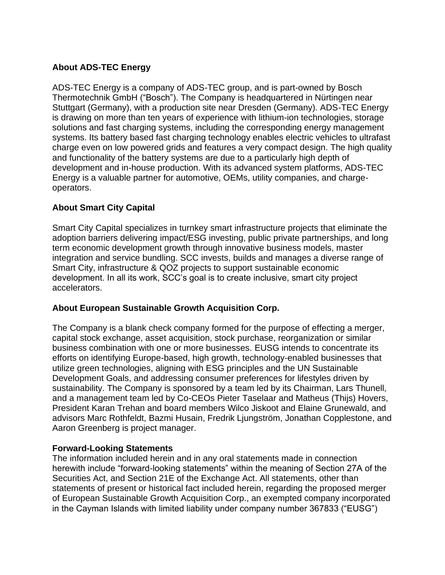# **About ADS-TEC Energy**

ADS-TEC Energy is a company of ADS-TEC group, and is part-owned by Bosch Thermotechnik GmbH ("Bosch"). The Company is headquartered in Nürtingen near Stuttgart (Germany), with a production site near Dresden (Germany). ADS-TEC Energy is drawing on more than ten years of experience with lithium-ion technologies, storage solutions and fast charging systems, including the corresponding energy management systems. Its battery based fast charging technology enables electric vehicles to ultrafast charge even on low powered grids and features a very compact design. The high quality and functionality of the battery systems are due to a particularly high depth of development and in-house production. With its advanced system platforms, ADS-TEC Energy is a valuable partner for automotive, OEMs, utility companies, and chargeoperators.

# **About Smart City Capital**

Smart City Capital specializes in turnkey smart infrastructure projects that eliminate the adoption barriers delivering impact/ESG investing, public private partnerships, and long term economic development growth through innovative business models, master integration and service bundling. SCC invests, builds and manages a diverse range of Smart City, infrastructure & QOZ projects to support sustainable economic development. In all its work, SCC's goal is to create inclusive, smart city project accelerators.

## **About European Sustainable Growth Acquisition Corp.**

The Company is a blank check company formed for the purpose of effecting a merger, capital stock exchange, asset acquisition, stock purchase, reorganization or similar business combination with one or more businesses. EUSG intends to concentrate its efforts on identifying Europe-based, high growth, technology-enabled businesses that utilize green technologies, aligning with ESG principles and the UN Sustainable Development Goals, and addressing consumer preferences for lifestyles driven by sustainability. The Company is sponsored by a team led by its Chairman, Lars Thunell, and a management team led by Co-CEOs Pieter Taselaar and Matheus (Thijs) Hovers, President Karan Trehan and board members Wilco Jiskoot and Elaine Grunewald, and advisors Marc Rothfeldt, Bazmi Husain, Fredrik Ljungström, Jonathan Copplestone, and Aaron Greenberg is project manager.

## **Forward-Looking Statements**

The information included herein and in any oral statements made in connection herewith include "forward-looking statements" within the meaning of Section 27A of the Securities Act, and Section 21E of the Exchange Act. All statements, other than statements of present or historical fact included herein, regarding the proposed merger of European Sustainable Growth Acquisition Corp., an exempted company incorporated in the Cayman Islands with limited liability under company number 367833 ("EUSG")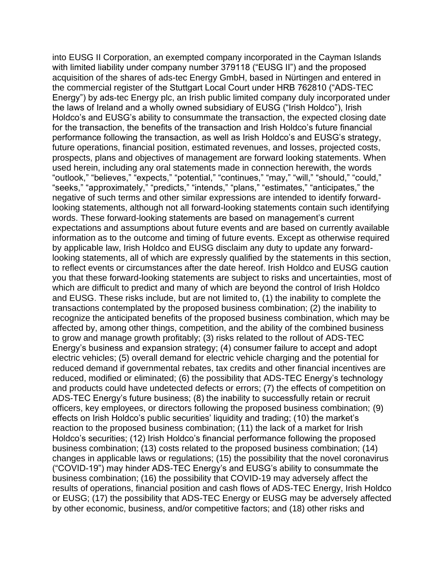into EUSG II Corporation, an exempted company incorporated in the Cayman Islands with limited liability under company number 379118 ("EUSG II") and the proposed acquisition of the shares of ads-tec Energy GmbH, based in Nürtingen and entered in the commercial register of the Stuttgart Local Court under HRB 762810 ("ADS-TEC Energy") by ads-tec Energy plc, an Irish public limited company duly incorporated under the laws of Ireland and a wholly owned subsidiary of EUSG ("Irish Holdco"), Irish Holdco's and EUSG's ability to consummate the transaction, the expected closing date for the transaction, the benefits of the transaction and Irish Holdco's future financial performance following the transaction, as well as Irish Holdco's and EUSG's strategy, future operations, financial position, estimated revenues, and losses, projected costs, prospects, plans and objectives of management are forward looking statements. When used herein, including any oral statements made in connection herewith, the words "outlook," "believes," "expects," "potential," "continues," "may," "will," "should," "could," "seeks," "approximately," "predicts," "intends," "plans," "estimates," "anticipates," the negative of such terms and other similar expressions are intended to identify forwardlooking statements, although not all forward-looking statements contain such identifying words. These forward-looking statements are based on management's current expectations and assumptions about future events and are based on currently available information as to the outcome and timing of future events. Except as otherwise required by applicable law, Irish Holdco and EUSG disclaim any duty to update any forwardlooking statements, all of which are expressly qualified by the statements in this section, to reflect events or circumstances after the date hereof. Irish Holdco and EUSG caution you that these forward-looking statements are subject to risks and uncertainties, most of which are difficult to predict and many of which are beyond the control of Irish Holdco and EUSG. These risks include, but are not limited to, (1) the inability to complete the transactions contemplated by the proposed business combination; (2) the inability to recognize the anticipated benefits of the proposed business combination, which may be affected by, among other things, competition, and the ability of the combined business to grow and manage growth profitably; (3) risks related to the rollout of ADS-TEC Energy's business and expansion strategy; (4) consumer failure to accept and adopt electric vehicles; (5) overall demand for electric vehicle charging and the potential for reduced demand if governmental rebates, tax credits and other financial incentives are reduced, modified or eliminated; (6) the possibility that ADS-TEC Energy's technology and products could have undetected defects or errors; (7) the effects of competition on ADS-TEC Energy's future business; (8) the inability to successfully retain or recruit officers, key employees, or directors following the proposed business combination; (9) effects on Irish Holdco's public securities' liquidity and trading; (10) the market's reaction to the proposed business combination; (11) the lack of a market for Irish Holdco's securities; (12) Irish Holdco's financial performance following the proposed business combination; (13) costs related to the proposed business combination; (14) changes in applicable laws or regulations; (15) the possibility that the novel coronavirus ("COVID-19") may hinder ADS-TEC Energy's and EUSG's ability to consummate the business combination; (16) the possibility that COVID-19 may adversely affect the results of operations, financial position and cash flows of ADS-TEC Energy, Irish Holdco or EUSG; (17) the possibility that ADS-TEC Energy or EUSG may be adversely affected by other economic, business, and/or competitive factors; and (18) other risks and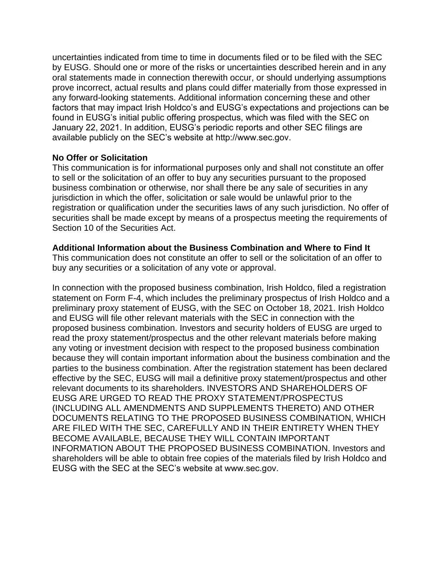uncertainties indicated from time to time in documents filed or to be filed with the SEC by EUSG. Should one or more of the risks or uncertainties described herein and in any oral statements made in connection therewith occur, or should underlying assumptions prove incorrect, actual results and plans could differ materially from those expressed in any forward-looking statements. Additional information concerning these and other factors that may impact Irish Holdco's and EUSG's expectations and projections can be found in EUSG's initial public offering prospectus, which was filed with the SEC on January 22, 2021. In addition, EUSG's periodic reports and other SEC filings are available publicly on the SEC's website at http://www.sec.gov.

#### **No Offer or Solicitation**

This communication is for informational purposes only and shall not constitute an offer to sell or the solicitation of an offer to buy any securities pursuant to the proposed business combination or otherwise, nor shall there be any sale of securities in any jurisdiction in which the offer, solicitation or sale would be unlawful prior to the registration or qualification under the securities laws of any such jurisdiction. No offer of securities shall be made except by means of a prospectus meeting the requirements of Section 10 of the Securities Act.

#### **Additional Information about the Business Combination and Where to Find It**

This communication does not constitute an offer to sell or the solicitation of an offer to buy any securities or a solicitation of any vote or approval.

In connection with the proposed business combination, Irish Holdco, filed a registration statement on Form F-4, which includes the preliminary prospectus of Irish Holdco and a preliminary proxy statement of EUSG, with the SEC on October 18, 2021. Irish Holdco and EUSG will file other relevant materials with the SEC in connection with the proposed business combination. Investors and security holders of EUSG are urged to read the proxy statement/prospectus and the other relevant materials before making any voting or investment decision with respect to the proposed business combination because they will contain important information about the business combination and the parties to the business combination. After the registration statement has been declared effective by the SEC, EUSG will mail a definitive proxy statement/prospectus and other relevant documents to its shareholders. INVESTORS AND SHAREHOLDERS OF EUSG ARE URGED TO READ THE PROXY STATEMENT/PROSPECTUS (INCLUDING ALL AMENDMENTS AND SUPPLEMENTS THERETO) AND OTHER DOCUMENTS RELATING TO THE PROPOSED BUSINESS COMBINATION, WHICH ARE FILED WITH THE SEC, CAREFULLY AND IN THEIR ENTIRETY WHEN THEY BECOME AVAILABLE, BECAUSE THEY WILL CONTAIN IMPORTANT INFORMATION ABOUT THE PROPOSED BUSINESS COMBINATION. Investors and shareholders will be able to obtain free copies of the materials filed by Irish Holdco and EUSG with the SEC at the SEC's website at www.sec.gov.